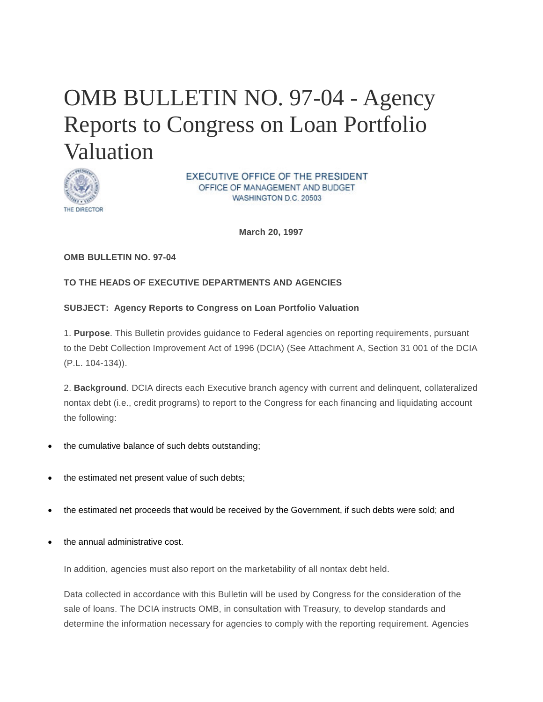# <span id="page-0-0"></span>OMB BULLETIN NO. 97-04 - Agency Reports to Congress on Loan Portfolio Valuation



EXECUTIVE OFFICE OF THE PRESIDENT OFFICE OF MANAGEMENT AND BUDGET WASHINGTON D.C. 20503

**March 20, 1997**

#### **OMB BULLETIN NO. 97-04**

## **TO THE HEADS OF EXECUTIVE DEPARTMENTS AND AGENCIES**

#### **SUBJECT: Agency Reports to Congress on Loan Portfolio Valuation**

1. **Purpose**. This Bulletin provides guidance to Federal agencies on reporting requirements, pursuant to the Debt Collection Improvement Act of 1996 (DCIA) (See Attachment A, Section 31 001 of the DCIA (P.L. 104-134)).

2. **Background**. DCIA directs each Executive branch agency with current and delinquent, collateralized nontax debt (i.e., credit programs) to report to the Congress for each financing and liquidating account the following:

- the cumulative balance of such debts outstanding;
- the estimated net present value of such debts;
- the estimated net proceeds that would be received by the Government, if such debts were sold; and
- the annual administrative cost.

In addition, agencies must also report on the marketability of all nontax debt held.

Data collected in accordance with this Bulletin will be used by Congress for the consideration of the sale of loans. The DCIA instructs OMB, in consultation with Treasury, to develop standards and determine the information necessary for agencies to comply with the reporting requirement. Agencies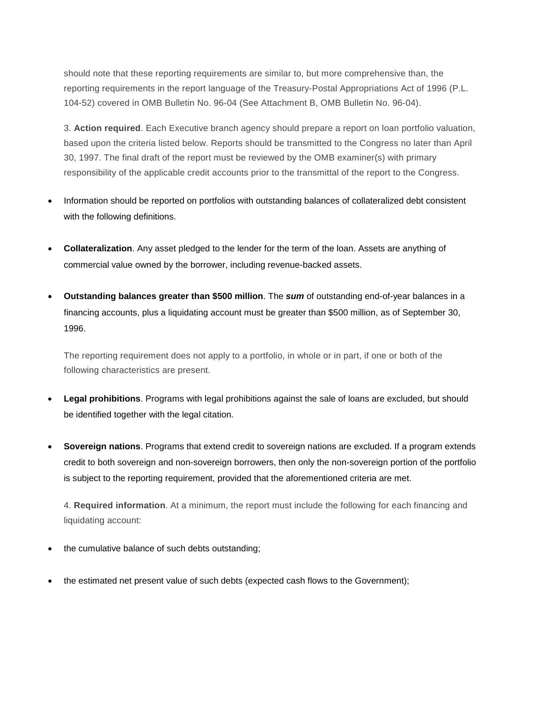should note that these reporting requirements are similar to, but more comprehensive than, the reporting requirements in the report language of the Treasury-Postal Appropriations Act of 1996 (P.L. 104-52) covered in OMB Bulletin No. 96-04 (See Attachment B, OMB Bulletin No. 96-04).

3. **Action required**. Each Executive branch agency should prepare a report on loan portfolio valuation, based upon the criteria listed below. Reports should be transmitted to the Congress no later than April 30, 1997. The final draft of the report must be reviewed by the OMB examiner(s) with primary responsibility of the applicable credit accounts prior to the transmittal of the report to the Congress.

- Information should be reported on portfolios with outstanding balances of collateralized debt consistent with the following definitions.
- **Collateralization**. Any asset pledged to the lender for the term of the loan. Assets are anything of commercial value owned by the borrower, including revenue-backed assets.
- **Outstanding balances greater than \$500 million**. The *sum* of outstanding end-of-year balances in a financing accounts, plus a liquidating account must be greater than \$500 million, as of September 30, 1996.

The reporting requirement does not apply to a portfolio, in whole or in part, if one or both of the following characteristics are present.

- **Legal prohibitions**. Programs with legal prohibitions against the sale of loans are excluded, but should be identified together with the legal citation.
- **Sovereign nations**. Programs that extend credit to sovereign nations are excluded. If a program extends credit to both sovereign and non-sovereign borrowers, then only the non-sovereign portion of the portfolio is subject to the reporting requirement, provided that the aforementioned criteria are met.

4. **Required information**. At a minimum, the report must include the following for each financing and liquidating account:

- the cumulative balance of such debts outstanding;
- the estimated net present value of such debts (expected cash flows to the Government);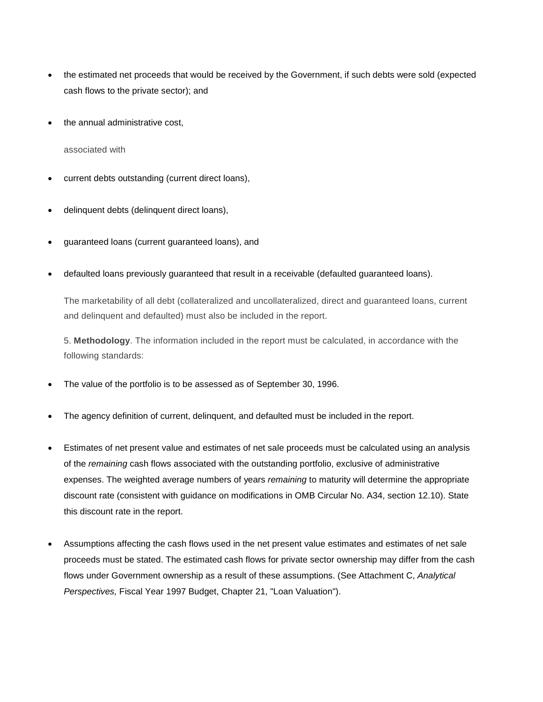- the estimated net proceeds that would be received by the Government, if such debts were sold (expected cash flows to the private sector); and
- the annual administrative cost,

associated with

- current debts outstanding (current direct loans),
- delinquent debts (delinquent direct loans),
- guaranteed loans (current guaranteed loans), and
- defaulted loans previously guaranteed that result in a receivable (defaulted guaranteed loans).

The marketability of all debt (collateralized and uncollateralized, direct and guaranteed loans, current and delinquent and defaulted) must also be included in the report.

5. **Methodology**. The information included in the report must be calculated, in accordance with the following standards:

- The value of the portfolio is to be assessed as of September 30, 1996.
- The agency definition of current, delinguent, and defaulted must be included in the report.
- Estimates of net present value and estimates of net sale proceeds must be calculated using an analysis of the *remaining* cash flows associated with the outstanding portfolio, exclusive of administrative expenses. The weighted average numbers of years *remaining* to maturity will determine the appropriate discount rate (consistent with guidance on modifications in OMB Circular No. A34, section 12.10). State this discount rate in the report.
- Assumptions affecting the cash flows used in the net present value estimates and estimates of net sale proceeds must be stated. The estimated cash flows for private sector ownership may differ from the cash flows under Government ownership as a result of these assumptions. (See Attachment C, *Analytical Perspectives,* Fiscal Year 1997 Budget, Chapter 21, "Loan Valuation").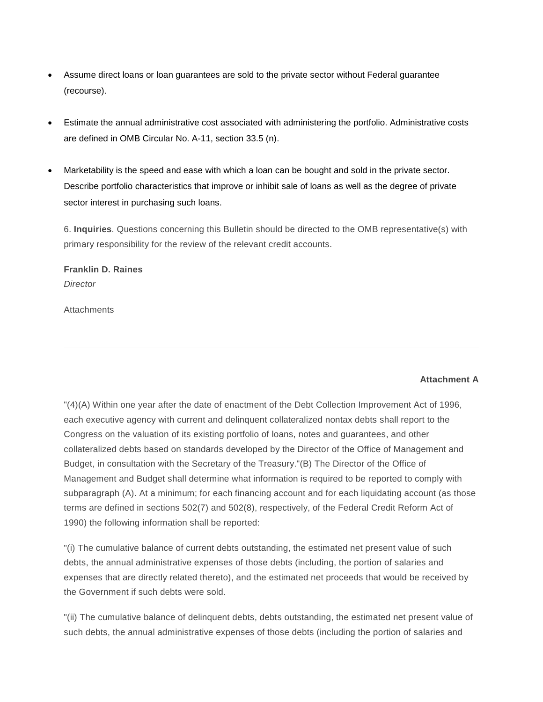- Assume direct loans or loan guarantees are sold to the private sector without Federal guarantee (recourse).
- Estimate the annual administrative cost associated with administering the portfolio. Administrative costs are defined in OMB Circular No. A-11, section 33.5 (n).
- Marketability is the speed and ease with which a loan can be bought and sold in the private sector. Describe portfolio characteristics that improve or inhibit sale of loans as well as the degree of private sector interest in purchasing such loans.

6. **Inquiries**. Questions concerning this Bulletin should be directed to the OMB representative(s) with primary responsibility for the review of the relevant credit accounts.

# **Franklin D. Raines** *Director*

**Attachments** 

## **Attachment A**

"(4)(A) Within one year after the date of enactment of the Debt Collection Improvement Act of 1996, each executive agency with current and delinquent collateralized nontax debts shall report to the Congress on the valuation of its existing portfolio of loans, notes and guarantees, and other collateralized debts based on standards developed by the Director of the Office of Management and Budget, in consultation with the Secretary of the Treasury."(B) The Director of the Office of Management and Budget shall determine what information is required to be reported to comply with subparagraph (A). At a minimum; for each financing account and for each liquidating account (as those terms are defined in sections 502(7) and 502(8), respectively, of the Federal Credit Reform Act of 1990) the following information shall be reported:

"(i) The cumulative balance of current debts outstanding, the estimated net present value of such debts, the annual administrative expenses of those debts (including, the portion of salaries and expenses that are directly related thereto), and the estimated net proceeds that would be received by the Government if such debts were sold.

"(ii) The cumulative balance of delinquent debts, debts outstanding, the estimated net present value of such debts, the annual administrative expenses of those debts (including the portion of salaries and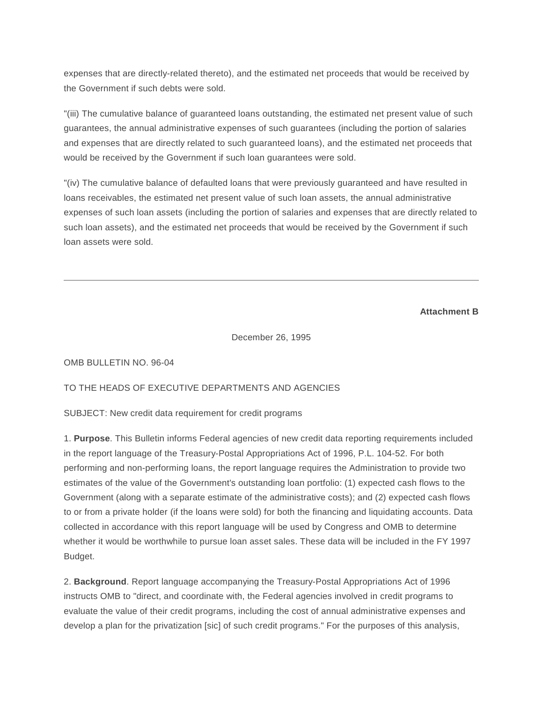expenses that are directly-related thereto), and the estimated net proceeds that would be received by the Government if such debts were sold.

"(iii) The cumulative balance of guaranteed loans outstanding, the estimated net present value of such guarantees, the annual administrative expenses of such guarantees (including the portion of salaries and expenses that are directly related to such guaranteed loans), and the estimated net proceeds that would be received by the Government if such loan guarantees were sold.

"(iv) The cumulative balance of defaulted loans that were previously guaranteed and have resulted in loans receivables, the estimated net present value of such loan assets, the annual administrative expenses of such loan assets (including the portion of salaries and expenses that are directly related to such loan assets), and the estimated net proceeds that would be received by the Government if such loan assets were sold.

**Attachment B**

December 26, 1995

OMB BULLETIN NO. 96-04

#### TO THE HEADS OF EXECUTIVE DEPARTMENTS AND AGENCIES

SUBJECT: New credit data requirement for credit programs

1. **Purpose**. This Bulletin informs Federal agencies of new credit data reporting requirements included in the report language of the Treasury-Postal Appropriations Act of 1996, P.L. 104-52. For both performing and non-performing loans, the report language requires the Administration to provide two estimates of the value of the Government's outstanding loan portfolio: (1) expected cash flows to the Government (along with a separate estimate of the administrative costs); and (2) expected cash flows to or from a private holder (if the loans were sold) for both the financing and liquidating accounts. Data collected in accordance with this report language will be used by Congress and OMB to determine whether it would be worthwhile to pursue loan asset sales. These data will be included in the FY 1997 Budget.

2. **Background**. Report language accompanying the Treasury-Postal Appropriations Act of 1996 instructs OMB to "direct, and coordinate with, the Federal agencies involved in credit programs to evaluate the value of their credit programs, including the cost of annual administrative expenses and develop a plan for the privatization [sic] of such credit programs." For the purposes of this analysis,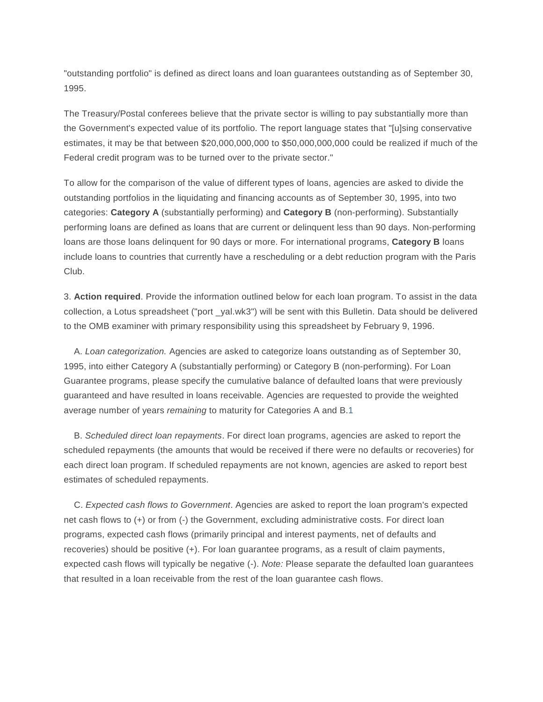"outstanding portfolio" is defined as direct loans and loan guarantees outstanding as of September 30, 1995.

The Treasury/Postal conferees believe that the private sector is willing to pay substantially more than the Government's expected value of its portfolio. The report language states that "[u]sing conservative estimates, it may be that between \$20,000,000,000 to \$50,000,000,000 could be realized if much of the Federal credit program was to be turned over to the private sector."

To allow for the comparison of the value of different types of loans, agencies are asked to divide the outstanding portfolios in the liquidating and financing accounts as of September 30, 1995, into two categories: **Category A** (substantially performing) and **Category B** (non-performing). Substantially performing loans are defined as loans that are current or delinquent less than 90 days. Non-performing loans are those loans delinquent for 90 days or more. For international programs, **Category B** loans include loans to countries that currently have a rescheduling or a debt reduction program with the Paris Club.

3. **Action required**. Provide the information outlined below for each loan program. To assist in the data collection, a Lotus spreadsheet ("port \_yal.wk3") will be sent with this Bulletin. Data should be delivered to the OMB examiner with primary responsibility using this spreadsheet by February 9, 1996.

 A. *Loan categorization.* Agencies are asked to categorize loans outstanding as of September 30, 1995, into either Category A (substantially performing) or Category B (non-performing). For Loan Guarantee programs, please specify the cumulative balance of defaulted loans that were previously guaranteed and have resulted in loans receivable. Agencies are requested to provide the weighted average number of years *remaining* to maturity for Categories A and B[.1](https://www.whitehouse.gov/omb/bulletins_b97-04#one)

 B. *Scheduled direct loan repayments*. For direct loan programs, agencies are asked to report the scheduled repayments (the amounts that would be received if there were no defaults or recoveries) for each direct loan program. If scheduled repayments are not known, agencies are asked to report best estimates of scheduled repayments.

 C. *Expected cash flows to Government*. Agencies are asked to report the loan program's expected net cash flows to (+) or from (-) the Government, excluding administrative costs. For direct loan programs, expected cash flows (primarily principal and interest payments, net of defaults and recoveries) should be positive (+). For loan guarantee programs, as a result of claim payments, expected cash flows will typically be negative (-). *Note:* Please separate the defaulted loan guarantees that resulted in a loan receivable from the rest of the loan guarantee cash flows.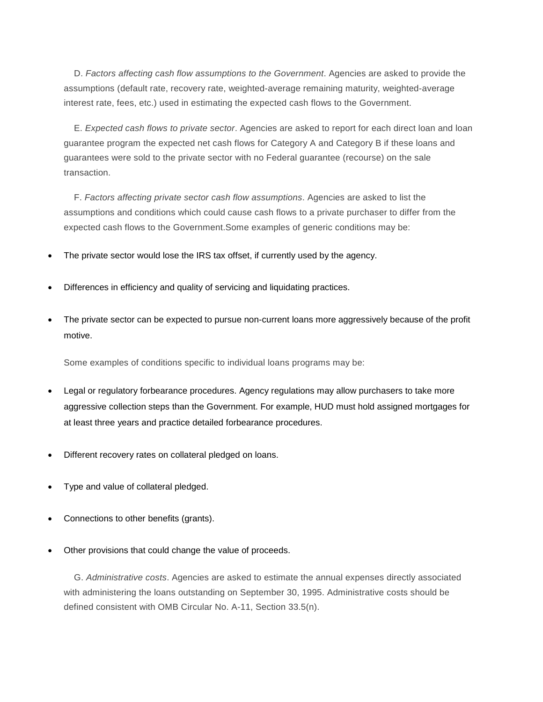D. *Factors affecting cash flow assumptions to the Government*. Agencies are asked to provide the assumptions (default rate, recovery rate, weighted-average remaining maturity, weighted-average interest rate, fees, etc.) used in estimating the expected cash flows to the Government.

 E. *Expected cash flows to private sector*. Agencies are asked to report for each direct loan and loan guarantee program the expected net cash flows for Category A and Category B if these loans and guarantees were sold to the private sector with no Federal guarantee (recourse) on the sale transaction.

 F. *Factors affecting private sector cash flow assumptions*. Agencies are asked to list the assumptions and conditions which could cause cash flows to a private purchaser to differ from the expected cash flows to the Government.Some examples of generic conditions may be:

- The private sector would lose the IRS tax offset, if currently used by the agency.
- Differences in efficiency and quality of servicing and liquidating practices.
- The private sector can be expected to pursue non-current loans more aggressively because of the profit motive.

Some examples of conditions specific to individual loans programs may be:

- Legal or regulatory forbearance procedures. Agency regulations may allow purchasers to take more aggressive collection steps than the Government. For example, HUD must hold assigned mortgages for at least three years and practice detailed forbearance procedures.
- Different recovery rates on collateral pledged on loans.
- Type and value of collateral pledged.
- Connections to other benefits (grants).
- Other provisions that could change the value of proceeds.

 G. *Administrative costs*. Agencies are asked to estimate the annual expenses directly associated with administering the loans outstanding on September 30, 1995. Administrative costs should be defined consistent with OMB Circular No. A-11, Section 33.5(n).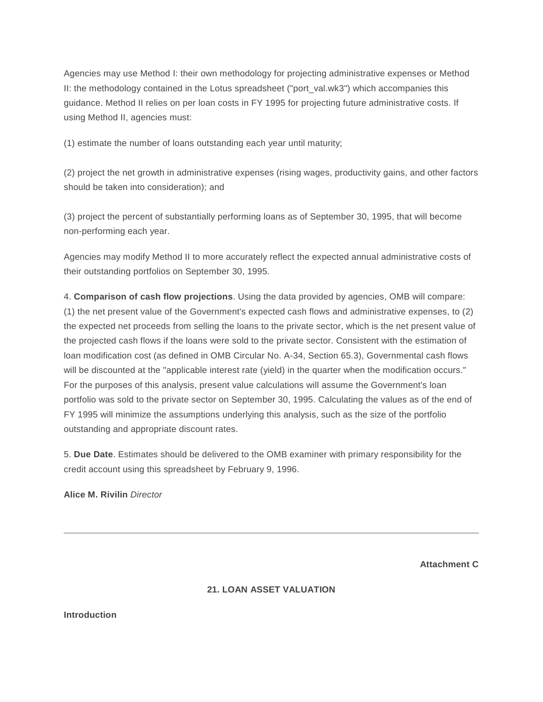Agencies may use Method I: their own methodology for projecting administrative expenses or Method II: the methodology contained in the Lotus spreadsheet ("port\_val.wk3") which accompanies this guidance. Method II relies on per loan costs in FY 1995 for projecting future administrative costs. If using Method II, agencies must:

(1) estimate the number of loans outstanding each year until maturity;

(2) project the net growth in administrative expenses (rising wages, productivity gains, and other factors should be taken into consideration); and

(3) project the percent of substantially performing loans as of September 30, 1995, that will become non-performing each year.

Agencies may modify Method II to more accurately reflect the expected annual administrative costs of their outstanding portfolios on September 30, 1995.

4. **Comparison of cash flow projections**. Using the data provided by agencies, OMB will compare: (1) the net present value of the Government's expected cash flows and administrative expenses, to (2) the expected net proceeds from selling the loans to the private sector, which is the net present value of the projected cash flows if the loans were sold to the private sector. Consistent with the estimation of loan modification cost (as defined in OMB Circular No. A-34, Section 65.3), Governmental cash flows will be discounted at the "applicable interest rate (yield) in the quarter when the modification occurs." For the purposes of this analysis, present value calculations will assume the Government's loan portfolio was sold to the private sector on September 30, 1995. Calculating the values as of the end of FY 1995 will minimize the assumptions underlying this analysis, such as the size of the portfolio outstanding and appropriate discount rates.

5. **Due Date**. Estimates should be delivered to the OMB examiner with primary responsibility for the credit account using this spreadsheet by February 9, 1996.

**Alice M. Rivilin** *Director*

**Attachment C**

# **21. LOAN ASSET VALUATION**

**Introduction**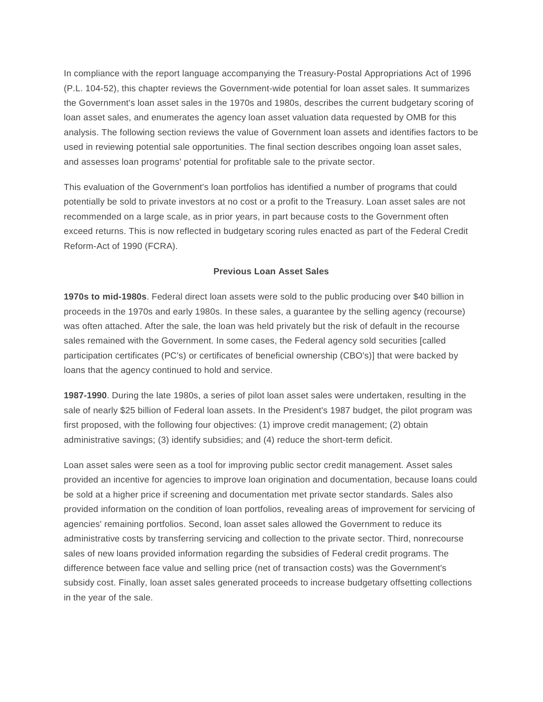In compliance with the report language accompanying the Treasury-Postal Appropriations Act of 1996 (P.L. 104-52), this chapter reviews the Government-wide potential for loan asset sales. It summarizes the Government's loan asset sales in the 1970s and 1980s, describes the current budgetary scoring of loan asset sales, and enumerates the agency loan asset valuation data requested by OMB for this analysis. The following section reviews the value of Government loan assets and identifies factors to be used in reviewing potential sale opportunities. The final section describes ongoing loan asset sales, and assesses loan programs' potential for profitable sale to the private sector.

This evaluation of the Government's loan portfolios has identified a number of programs that could potentially be sold to private investors at no cost or a profit to the Treasury. Loan asset sales are not recommended on a large scale, as in prior years, in part because costs to the Government often exceed returns. This is now reflected in budgetary scoring rules enacted as part of the Federal Credit Reform-Act of 1990 (FCRA).

#### **Previous Loan Asset Sales**

**1970s to mid-1980s**. Federal direct loan assets were sold to the public producing over \$40 billion in proceeds in the 1970s and early 1980s. In these sales, a guarantee by the selling agency (recourse) was often attached. After the sale, the loan was held privately but the risk of default in the recourse sales remained with the Government. In some cases, the Federal agency sold securities [called participation certificates (PC's) or certificates of beneficial ownership (CBO's)] that were backed by loans that the agency continued to hold and service.

**1987-1990**. During the late 1980s, a series of pilot loan asset sales were undertaken, resulting in the sale of nearly \$25 billion of Federal loan assets. In the President's 1987 budget, the pilot program was first proposed, with the following four objectives: (1) improve credit management; (2) obtain administrative savings; (3) identify subsidies; and (4) reduce the short-term deficit.

Loan asset sales were seen as a tool for improving public sector credit management. Asset sales provided an incentive for agencies to improve loan origination and documentation, because loans could be sold at a higher price if screening and documentation met private sector standards. Sales also provided information on the condition of loan portfolios, revealing areas of improvement for servicing of agencies' remaining portfolios. Second, loan asset sales allowed the Government to reduce its administrative costs by transferring servicing and collection to the private sector. Third, nonrecourse sales of new loans provided information regarding the subsidies of Federal credit programs. The difference between face value and selling price (net of transaction costs) was the Government's subsidy cost. Finally, loan asset sales generated proceeds to increase budgetary offsetting collections in the year of the sale.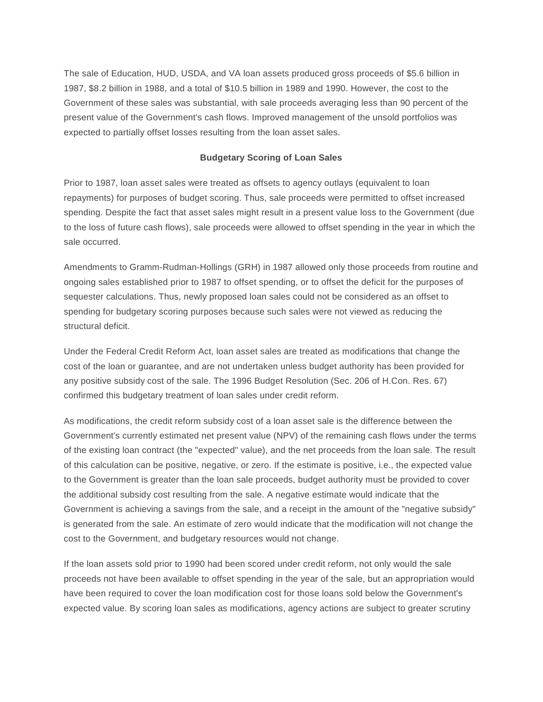The sale of Education, HUD, USDA, and VA loan assets produced gross proceeds of \$5.6 billion in 1987, \$8.2 billion in 1988, and a total of \$10.5 billion in 1989 and 1990. However, the cost to the Government of these sales was substantial, with sale proceeds averaging less than 90 percent of the present value of the Government's cash flows. Improved management of the unsold portfolios was expected to partially offset losses resulting from the loan asset sales.

#### **Budgetary Scoring of Loan Sales**

Prior to 1987, loan asset sales were treated as offsets to agency outlays (equivalent to loan repayments) for purposes of budget scoring. Thus, sale proceeds were permitted to offset increased spending. Despite the fact that asset sales might result in a present value loss to the Government (due to the loss of future cash flows), sale proceeds were allowed to offset spending in the year in which the sale occurred.

Amendments to Gramm-Rudman-Hollings (GRH) in 1987 allowed only those proceeds from routine and ongoing sales established prior to 1987 to offset spending, or to offset the deficit for the purposes of sequester calculations. Thus, newly proposed loan sales could not be considered as an offset to spending for budgetary scoring purposes because such sales were not viewed as reducing the structural deficit.

Under the Federal Credit Reform Act, loan asset sales are treated as modifications that change the cost of the loan or guarantee, and are not undertaken unless budget authority has been provided for any positive subsidy cost of the sale. The 1996 Budget Resolution (Sec. 206 of H.Con. Res. 67) confirmed this budgetary treatment of loan sales under credit reform.

As modifications, the credit reform subsidy cost of a loan asset sale is the difference between the Government's currently estimated net present value (NPV) of the remaining cash flows under the terms of the existing loan contract (the "expected" value), and the net proceeds from the loan sale. The result of this calculation can be positive, negative, or zero. If the estimate is positive, i.e., the expected value to the Government is greater than the loan sale proceeds, budget authority must be provided to cover the additional subsidy cost resulting from the sale. A negative estimate would indicate that the Government is achieving a savings from the sale, and a receipt in the amount of the "negative subsidy" is generated from the sale. An estimate of zero would indicate that the modification will not change the cost to the Government, and budgetary resources would not change.

If the loan assets sold prior to 1990 had been scored under credit reform, not only would the sale proceeds not have been available to offset spending in the year of the sale, but an appropriation would have been required to cover the loan modification cost for those loans sold below the Government's expected value. By scoring loan sales as modifications, agency actions are subject to greater scrutiny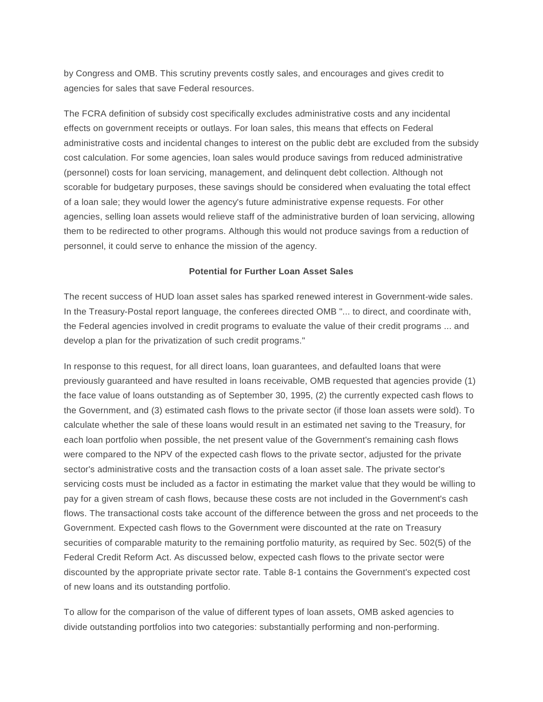by Congress and OMB. This scrutiny prevents costly sales, and encourages and gives credit to agencies for sales that save Federal resources.

The FCRA definition of subsidy cost specifically excludes administrative costs and any incidental effects on government receipts or outlays. For loan sales, this means that effects on Federal administrative costs and incidental changes to interest on the public debt are excluded from the subsidy cost calculation. For some agencies, loan sales would produce savings from reduced administrative (personnel) costs for loan servicing, management, and delinquent debt collection. Although not scorable for budgetary purposes, these savings should be considered when evaluating the total effect of a loan sale; they would lower the agency's future administrative expense requests. For other agencies, selling loan assets would relieve staff of the administrative burden of loan servicing, allowing them to be redirected to other programs. Although this would not produce savings from a reduction of personnel, it could serve to enhance the mission of the agency.

#### **Potential for Further Loan Asset Sales**

The recent success of HUD loan asset sales has sparked renewed interest in Government-wide sales. In the Treasury-Postal report language, the conferees directed OMB "... to direct, and coordinate with, the Federal agencies involved in credit programs to evaluate the value of their credit programs ... and develop a plan for the privatization of such credit programs."

In response to this request, for all direct loans, loan guarantees, and defaulted loans that were previously guaranteed and have resulted in loans receivable, OMB requested that agencies provide (1) the face value of loans outstanding as of September 30, 1995, (2) the currently expected cash flows to the Government, and (3) estimated cash flows to the private sector (if those loan assets were sold). To calculate whether the sale of these loans would result in an estimated net saving to the Treasury, for each loan portfolio when possible, the net present value of the Government's remaining cash flows were compared to the NPV of the expected cash flows to the private sector, adjusted for the private sector's administrative costs and the transaction costs of a loan asset sale. The private sector's servicing costs must be included as a factor in estimating the market value that they would be willing to pay for a given stream of cash flows, because these costs are not included in the Government's cash flows. The transactional costs take account of the difference between the gross and net proceeds to the Government. Expected cash flows to the Government were discounted at the rate on Treasury securities of comparable maturity to the remaining portfolio maturity, as required by Sec. 502(5) of the Federal Credit Reform Act. As discussed below, expected cash flows to the private sector were discounted by the appropriate private sector rate. Table 8-1 contains the Government's expected cost of new loans and its outstanding portfolio.

To allow for the comparison of the value of different types of loan assets, OMB asked agencies to divide outstanding portfolios into two categories: substantially performing and non-performing.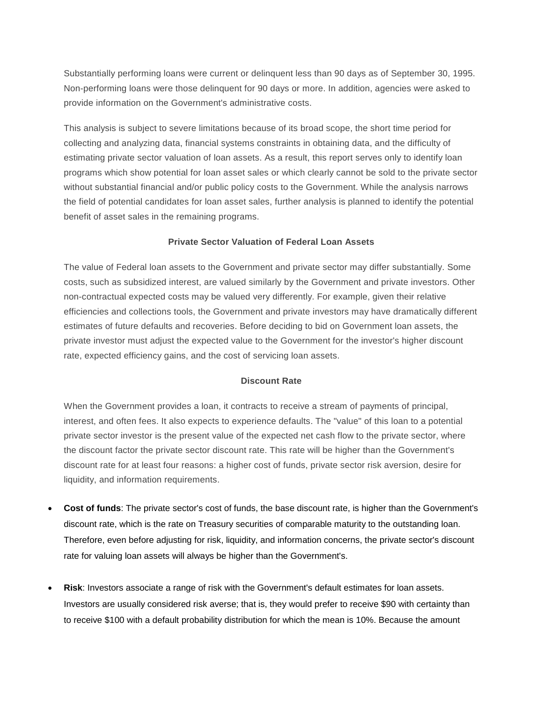Substantially performing loans were current or delinquent less than 90 days as of September 30, 1995. Non-performing loans were those delinquent for 90 days or more. In addition, agencies were asked to provide information on the Government's administrative costs.

This analysis is subject to severe limitations because of its broad scope, the short time period for collecting and analyzing data, financial systems constraints in obtaining data, and the difficulty of estimating private sector valuation of loan assets. As a result, this report serves only to identify loan programs which show potential for loan asset sales or which clearly cannot be sold to the private sector without substantial financial and/or public policy costs to the Government. While the analysis narrows the field of potential candidates for loan asset sales, further analysis is planned to identify the potential benefit of asset sales in the remaining programs.

#### **Private Sector Valuation of Federal Loan Assets**

The value of Federal loan assets to the Government and private sector may differ substantially. Some costs, such as subsidized interest, are valued similarly by the Government and private investors. Other non-contractual expected costs may be valued very differently. For example, given their relative efficiencies and collections tools, the Government and private investors may have dramatically different estimates of future defaults and recoveries. Before deciding to bid on Government loan assets, the private investor must adjust the expected value to the Government for the investor's higher discount rate, expected efficiency gains, and the cost of servicing loan assets.

#### **Discount Rate**

When the Government provides a loan, it contracts to receive a stream of payments of principal, interest, and often fees. It also expects to experience defaults. The "value" of this loan to a potential private sector investor is the present value of the expected net cash flow to the private sector, where the discount factor the private sector discount rate. This rate will be higher than the Government's discount rate for at least four reasons: a higher cost of funds, private sector risk aversion, desire for liquidity, and information requirements.

- **Cost of funds**: The private sector's cost of funds, the base discount rate, is higher than the Government's discount rate, which is the rate on Treasury securities of comparable maturity to the outstanding loan. Therefore, even before adjusting for risk, liquidity, and information concerns, the private sector's discount rate for valuing loan assets will always be higher than the Government's.
- **Risk**: Investors associate a range of risk with the Government's default estimates for loan assets. Investors are usually considered risk averse; that is, they would prefer to receive \$90 with certainty than to receive \$100 with a default probability distribution for which the mean is 10%. Because the amount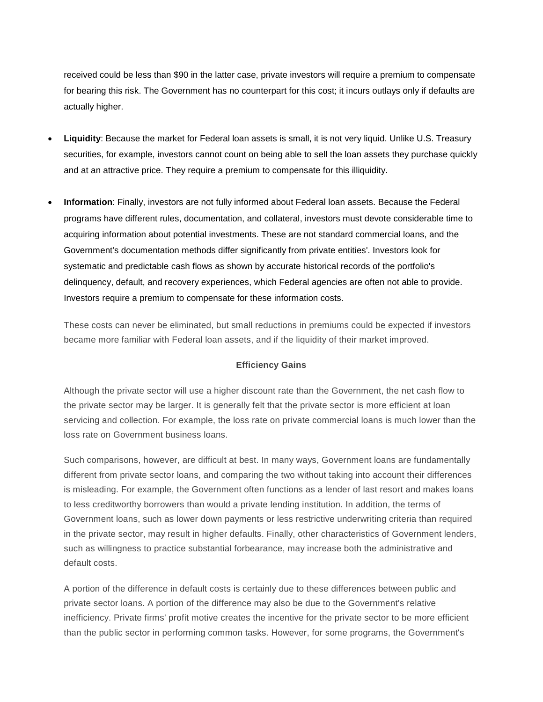received could be less than \$90 in the latter case, private investors will require a premium to compensate for bearing this risk. The Government has no counterpart for this cost; it incurs outlays only if defaults are actually higher.

- **Liquidity**: Because the market for Federal loan assets is small, it is not very liquid. Unlike U.S. Treasury securities, for example, investors cannot count on being able to sell the loan assets they purchase quickly and at an attractive price. They require a premium to compensate for this illiquidity.
- **Information**: Finally, investors are not fully informed about Federal loan assets. Because the Federal programs have different rules, documentation, and collateral, investors must devote considerable time to acquiring information about potential investments. These are not standard commercial loans, and the Government's documentation methods differ significantly from private entities'. Investors look for systematic and predictable cash flows as shown by accurate historical records of the portfolio's delinquency, default, and recovery experiences, which Federal agencies are often not able to provide. Investors require a premium to compensate for these information costs.

These costs can never be eliminated, but small reductions in premiums could be expected if investors became more familiar with Federal loan assets, and if the liquidity of their market improved.

#### **Efficiency Gains**

Although the private sector will use a higher discount rate than the Government, the net cash flow to the private sector may be larger. It is generally felt that the private sector is more efficient at loan servicing and collection. For example, the loss rate on private commercial loans is much lower than the loss rate on Government business loans.

Such comparisons, however, are difficult at best. In many ways, Government loans are fundamentally different from private sector loans, and comparing the two without taking into account their differences is misleading. For example, the Government often functions as a lender of last resort and makes loans to less creditworthy borrowers than would a private lending institution. In addition, the terms of Government loans, such as lower down payments or less restrictive underwriting criteria than required in the private sector, may result in higher defaults. Finally, other characteristics of Government lenders, such as willingness to practice substantial forbearance, may increase both the administrative and default costs.

A portion of the difference in default costs is certainly due to these differences between public and private sector loans. A portion of the difference may also be due to the Government's relative inefficiency. Private firms' profit motive creates the incentive for the private sector to be more efficient than the public sector in performing common tasks. However, for some programs, the Government's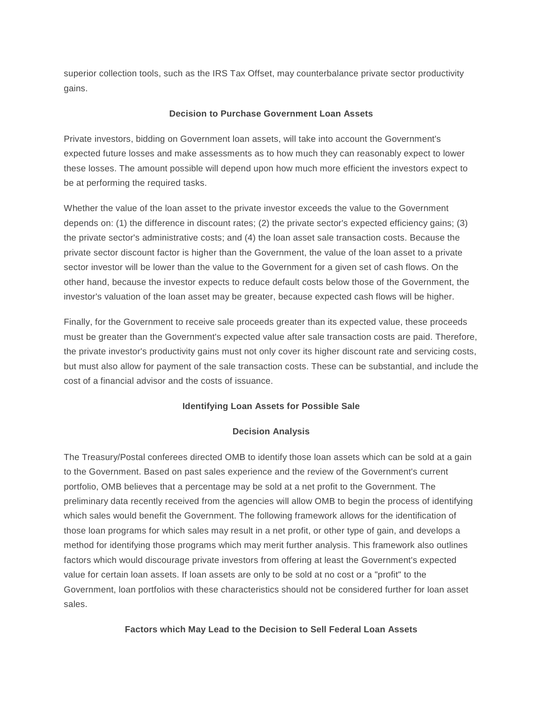superior collection tools, such as the IRS Tax Offset, may counterbalance private sector productivity gains.

#### **Decision to Purchase Government Loan Assets**

Private investors, bidding on Government loan assets, will take into account the Government's expected future losses and make assessments as to how much they can reasonably expect to lower these losses. The amount possible will depend upon how much more efficient the investors expect to be at performing the required tasks.

Whether the value of the loan asset to the private investor exceeds the value to the Government depends on: (1) the difference in discount rates; (2) the private sector's expected efficiency gains; (3) the private sector's administrative costs; and (4) the loan asset sale transaction costs. Because the private sector discount factor is higher than the Government, the value of the loan asset to a private sector investor will be lower than the value to the Government for a given set of cash flows. On the other hand, because the investor expects to reduce default costs below those of the Government, the investor's valuation of the loan asset may be greater, because expected cash flows will be higher.

Finally, for the Government to receive sale proceeds greater than its expected value, these proceeds must be greater than the Government's expected value after sale transaction costs are paid. Therefore, the private investor's productivity gains must not only cover its higher discount rate and servicing costs, but must also allow for payment of the sale transaction costs. These can be substantial, and include the cost of a financial advisor and the costs of issuance.

#### **Identifying Loan Assets for Possible Sale**

#### **Decision Analysis**

The Treasury/Postal conferees directed OMB to identify those loan assets which can be sold at a gain to the Government. Based on past sales experience and the review of the Government's current portfolio, OMB believes that a percentage may be sold at a net profit to the Government. The preliminary data recently received from the agencies will allow OMB to begin the process of identifying which sales would benefit the Government. The following framework allows for the identification of those loan programs for which sales may result in a net profit, or other type of gain, and develops a method for identifying those programs which may merit further analysis. This framework also outlines factors which would discourage private investors from offering at least the Government's expected value for certain loan assets. If loan assets are only to be sold at no cost or a "profit" to the Government, loan portfolios with these characteristics should not be considered further for loan asset sales.

#### **Factors which May Lead to the Decision to Sell Federal Loan Assets**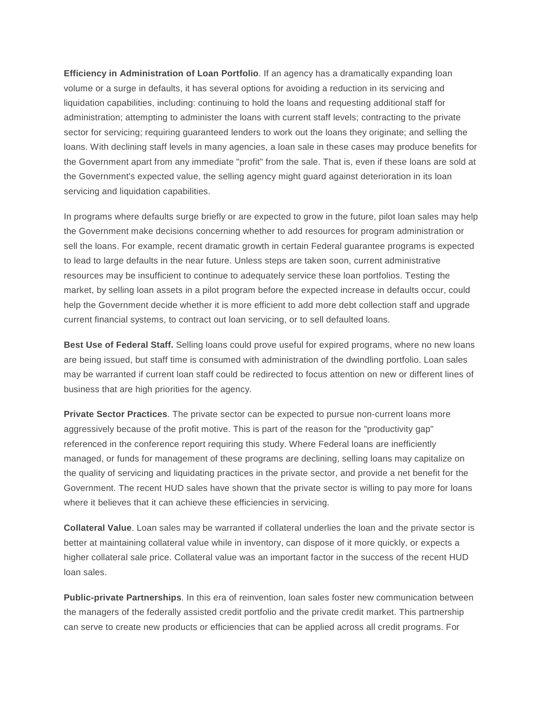**Efficiency in Administration of Loan Portfolio**. If an agency has a dramatically expanding loan volume or a surge in defaults, it has several options for avoiding a reduction in its servicing and liquidation capabilities, including: continuing to hold the loans and requesting additional staff for administration; attempting to administer the loans with current staff levels; contracting to the private sector for servicing; requiring guaranteed lenders to work out the loans they originate; and selling the loans. With declining staff levels in many agencies, a loan sale in these cases may produce benefits for the Government apart from any immediate "profit" from the sale. That is, even if these loans are sold at the Government's expected value, the selling agency might guard against deterioration in its loan servicing and liquidation capabilities.

In programs where defaults surge briefly or are expected to grow in the future, pilot loan sales may help the Government make decisions concerning whether to add resources for program administration or sell the loans. For example, recent dramatic growth in certain Federal guarantee programs is expected to lead to large defaults in the near future. Unless steps are taken soon, current administrative resources may be insufficient to continue to adequately service these loan portfolios. Testing the market, by selling loan assets in a pilot program before the expected increase in defaults occur, could help the Government decide whether it is more efficient to add more debt collection staff and upgrade current financial systems, to contract out loan servicing, or to sell defaulted loans.

**Best Use of Federal Staff.** Selling loans could prove useful for expired programs, where no new loans are being issued, but staff time is consumed with administration of the dwindling portfolio. Loan sales may be warranted if current loan staff could be redirected to focus attention on new or different lines of business that are high priorities for the agency.

**Private Sector Practices**. The private sector can be expected to pursue non-current loans more aggressively because of the profit motive. This is part of the reason for the "productivity gap" referenced in the conference report requiring this study. Where Federal loans are inefficiently managed, or funds for management of these programs are declining, selling loans may capitalize on the quality of servicing and liquidating practices in the private sector, and provide a net benefit for the Government. The recent HUD sales have shown that the private sector is willing to pay more for loans where it believes that it can achieve these efficiencies in servicing.

**Collateral Value**. Loan sales may be warranted if collateral underlies the loan and the private sector is better at maintaining collateral value while in inventory, can dispose of it more quickly, or expects a higher collateral sale price. Collateral value was an important factor in the success of the recent HUD loan sales.

**Public-private Partnerships**. In this era of reinvention, loan sales foster new communication between the managers of the federally assisted credit portfolio and the private credit market. This partnership can serve to create new products or efficiencies that can be applied across all credit programs. For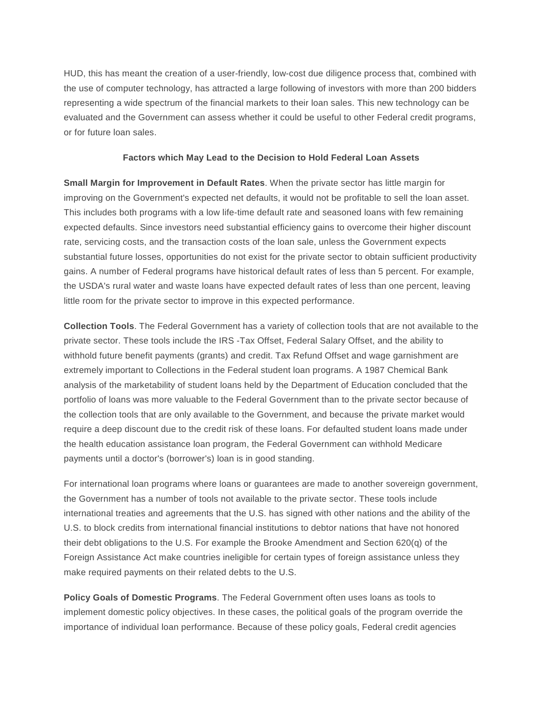HUD, this has meant the creation of a user-friendly, low-cost due diligence process that, combined with the use of computer technology, has attracted a large following of investors with more than 200 bidders representing a wide spectrum of the financial markets to their loan sales. This new technology can be evaluated and the Government can assess whether it could be useful to other Federal credit programs, or for future loan sales.

#### **Factors which May Lead to the Decision to Hold Federal Loan Assets**

**Small Margin for Improvement in Default Rates**. When the private sector has little margin for improving on the Government's expected net defaults, it would not be profitable to sell the loan asset. This includes both programs with a low life-time default rate and seasoned loans with few remaining expected defaults. Since investors need substantial efficiency gains to overcome their higher discount rate, servicing costs, and the transaction costs of the loan sale, unless the Government expects substantial future losses, opportunities do not exist for the private sector to obtain sufficient productivity gains. A number of Federal programs have historical default rates of less than 5 percent. For example, the USDA's rural water and waste loans have expected default rates of less than one percent, leaving little room for the private sector to improve in this expected performance.

**Collection Tools**. The Federal Government has a variety of collection tools that are not available to the private sector. These tools include the IRS -Tax Offset, Federal Salary Offset, and the ability to withhold future benefit payments (grants) and credit. Tax Refund Offset and wage garnishment are extremely important to Collections in the Federal student loan programs. A 1987 Chemical Bank analysis of the marketability of student loans held by the Department of Education concluded that the portfolio of loans was more valuable to the Federal Government than to the private sector because of the collection tools that are only available to the Government, and because the private market would require a deep discount due to the credit risk of these loans. For defaulted student loans made under the health education assistance loan program, the Federal Government can withhold Medicare payments until a doctor's (borrower's) loan is in good standing.

For international loan programs where loans or guarantees are made to another sovereign government, the Government has a number of tools not available to the private sector. These tools include international treaties and agreements that the U.S. has signed with other nations and the ability of the U.S. to block credits from international financial institutions to debtor nations that have not honored their debt obligations to the U.S. For example the Brooke Amendment and Section 620(q) of the Foreign Assistance Act make countries ineligible for certain types of foreign assistance unless they make required payments on their related debts to the U.S.

**Policy Goals of Domestic Programs**. The Federal Government often uses loans as tools to implement domestic policy objectives. In these cases, the political goals of the program override the importance of individual loan performance. Because of these policy goals, Federal credit agencies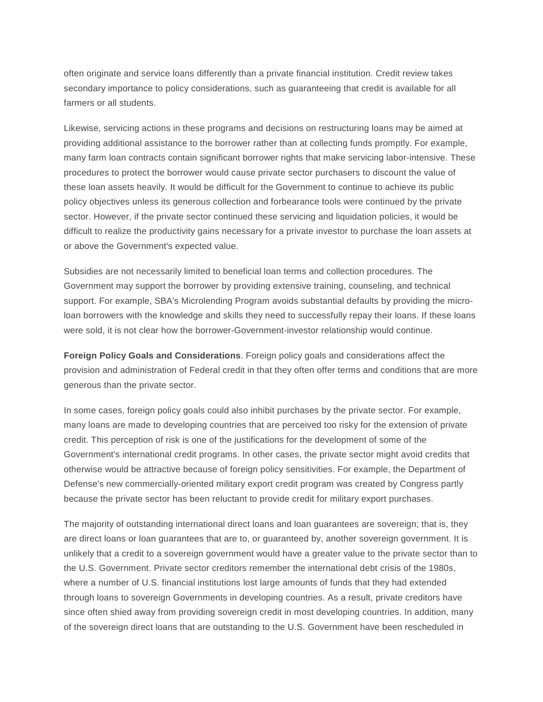often originate and service loans differently than a private financial institution. Credit review takes secondary importance to policy considerations, such as guaranteeing that credit is available for all farmers or all students.

Likewise, servicing actions in these programs and decisions on restructuring loans may be aimed at providing additional assistance to the borrower rather than at collecting funds promptly. For example, many farm loan contracts contain significant borrower rights that make servicing labor-intensive. These procedures to protect the borrower would cause private sector purchasers to discount the value of these loan assets heavily. It would be difficult for the Government to continue to achieve its public policy objectives unless its generous collection and forbearance tools were continued by the private sector. However, if the private sector continued these servicing and liquidation policies, it would be difficult to realize the productivity gains necessary for a private investor to purchase the loan assets at or above the Government's expected value.

Subsidies are not necessarily limited to beneficial loan terms and collection procedures. The Government may support the borrower by providing extensive training, counseling, and technical support. For example, SBA's Microlending Program avoids substantial defaults by providing the microloan borrowers with the knowledge and skills they need to successfully repay their loans. If these loans were sold, it is not clear how the borrower-Government-investor relationship would continue.

**Foreign Policy Goals and Considerations**. Foreign policy goals and considerations affect the provision and administration of Federal credit in that they often offer terms and conditions that are more generous than the private sector.

In some cases, foreign policy goals could also inhibit purchases by the private sector. For example, many loans are made to developing countries that are perceived too risky for the extension of private credit. This perception of risk is one of the justifications for the development of some of the Government's international credit programs. In other cases, the private sector might avoid credits that otherwise would be attractive because of foreign policy sensitivities. For example, the Department of Defense's new commercially-oriented military export credit program was created by Congress partly because the private sector has been reluctant to provide credit for military export purchases.

The majority of outstanding international direct loans and loan guarantees are sovereign; that is, they are direct loans or loan guarantees that are to, or guaranteed by, another sovereign government. It is unlikely that a credit to a sovereign government would have a greater value to the private sector than to the U.S. Government. Private sector creditors remember the international debt crisis of the 1980s, where a number of U.S. financial institutions lost large amounts of funds that they had extended through loans to sovereign Governments in developing countries. As a result, private creditors have since often shied away from providing sovereign credit in most developing countries. In addition, many of the sovereign direct loans that are outstanding to the U.S. Government have been rescheduled in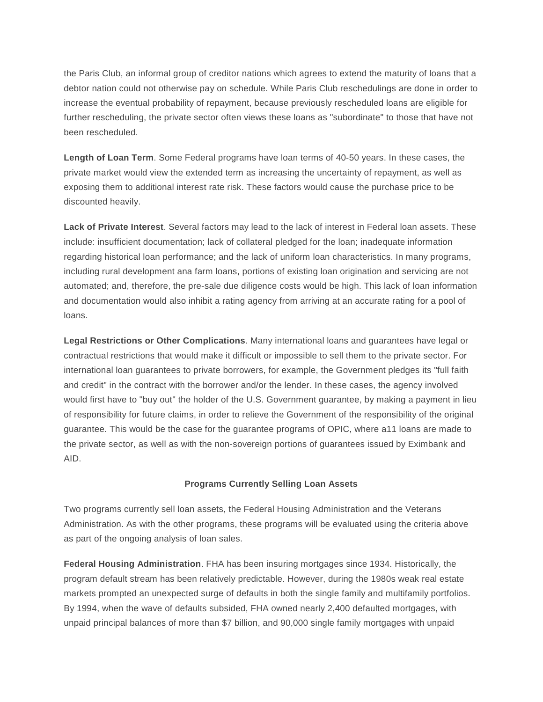the Paris Club, an informal group of creditor nations which agrees to extend the maturity of loans that a debtor nation could not otherwise pay on schedule. While Paris Club reschedulings are done in order to increase the eventual probability of repayment, because previously rescheduled loans are eligible for further rescheduling, the private sector often views these loans as "subordinate" to those that have not been rescheduled.

**Length of Loan Term**. Some Federal programs have loan terms of 40-50 years. In these cases, the private market would view the extended term as increasing the uncertainty of repayment, as well as exposing them to additional interest rate risk. These factors would cause the purchase price to be discounted heavily.

**Lack of Private Interest**. Several factors may lead to the lack of interest in Federal loan assets. These include: insufficient documentation; lack of collateral pledged for the loan; inadequate information regarding historical loan performance; and the lack of uniform loan characteristics. In many programs, including rural development ana farm loans, portions of existing loan origination and servicing are not automated; and, therefore, the pre-sale due diligence costs would be high. This lack of loan information and documentation would also inhibit a rating agency from arriving at an accurate rating for a pool of loans.

**Legal Restrictions or Other Complications**. Many international loans and guarantees have legal or contractual restrictions that would make it difficult or impossible to sell them to the private sector. For international loan guarantees to private borrowers, for example, the Government pledges its "full faith and credit" in the contract with the borrower and/or the lender. In these cases, the agency involved would first have to "buy out" the holder of the U.S. Government guarantee, by making a payment in lieu of responsibility for future claims, in order to relieve the Government of the responsibility of the original guarantee. This would be the case for the guarantee programs of OPIC, where a11 loans are made to the private sector, as well as with the non-sovereign portions of guarantees issued by Eximbank and AID.

#### **Programs Currently Selling Loan Assets**

Two programs currently sell loan assets, the Federal Housing Administration and the Veterans Administration. As with the other programs, these programs will be evaluated using the criteria above as part of the ongoing analysis of loan sales.

**Federal Housing Administration**. FHA has been insuring mortgages since 1934. Historically, the program default stream has been relatively predictable. However, during the 1980s weak real estate markets prompted an unexpected surge of defaults in both the single family and multifamily portfolios. By 1994, when the wave of defaults subsided, FHA owned nearly 2,400 defaulted mortgages, with unpaid principal balances of more than \$7 billion, and 90,000 single family mortgages with unpaid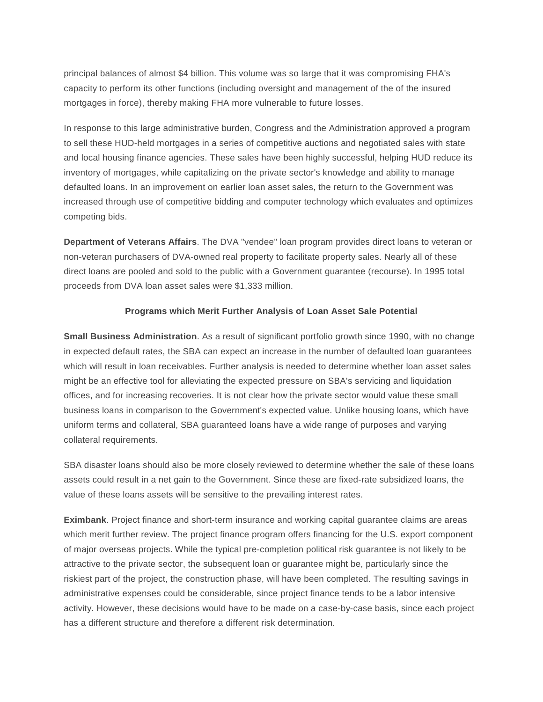principal balances of almost \$4 billion. This volume was so large that it was compromising FHA's capacity to perform its other functions (including oversight and management of the of the insured mortgages in force), thereby making FHA more vulnerable to future losses.

In response to this large administrative burden, Congress and the Administration approved a program to sell these HUD-held mortgages in a series of competitive auctions and negotiated sales with state and local housing finance agencies. These sales have been highly successful, helping HUD reduce its inventory of mortgages, while capitalizing on the private sector's knowledge and ability to manage defaulted loans. In an improvement on earlier loan asset sales, the return to the Government was increased through use of competitive bidding and computer technology which evaluates and optimizes competing bids.

**Department of Veterans Affairs**. The DVA "vendee" loan program provides direct loans to veteran or non-veteran purchasers of DVA-owned real property to facilitate property sales. Nearly all of these direct loans are pooled and sold to the public with a Government guarantee (recourse). In 1995 total proceeds from DVA loan asset sales were \$1,333 million.

#### **Programs which Merit Further Analysis of Loan Asset Sale Potential**

**Small Business Administration**. As a result of significant portfolio growth since 1990, with no change in expected default rates, the SBA can expect an increase in the number of defaulted loan guarantees which will result in loan receivables. Further analysis is needed to determine whether loan asset sales might be an effective tool for alleviating the expected pressure on SBA's servicing and liquidation offices, and for increasing recoveries. It is not clear how the private sector would value these small business loans in comparison to the Government's expected value. Unlike housing loans, which have uniform terms and collateral, SBA guaranteed loans have a wide range of purposes and varying collateral requirements.

SBA disaster loans should also be more closely reviewed to determine whether the sale of these loans assets could result in a net gain to the Government. Since these are fixed-rate subsidized loans, the value of these loans assets will be sensitive to the prevailing interest rates.

**Eximbank**. Project finance and short-term insurance and working capital guarantee claims are areas which merit further review. The project finance program offers financing for the U.S. export component of major overseas projects. While the typical pre-completion political risk guarantee is not likely to be attractive to the private sector, the subsequent loan or guarantee might be, particularly since the riskiest part of the project, the construction phase, will have been completed. The resulting savings in administrative expenses could be considerable, since project finance tends to be a labor intensive activity. However, these decisions would have to be made on a case-by-case basis, since each project has a different structure and therefore a different risk determination.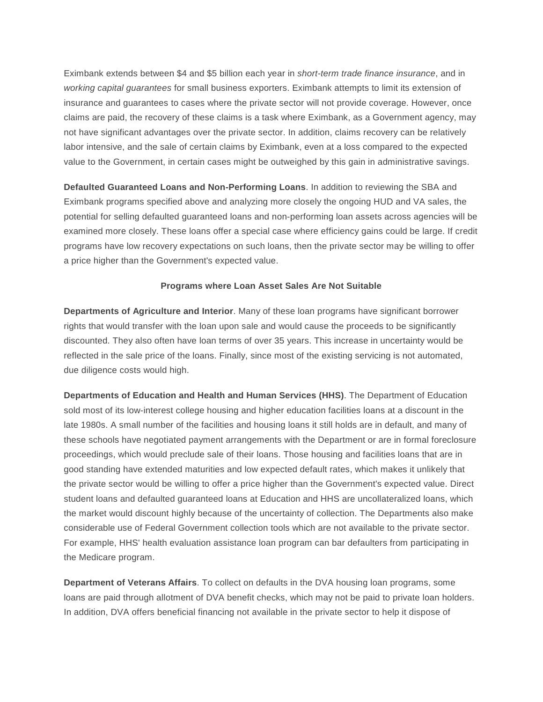Eximbank extends between \$4 and \$5 billion each year in *short-term trade finance insurance*, and in *working capital guarantees* for small business exporters. Eximbank attempts to limit its extension of insurance and guarantees to cases where the private sector will not provide coverage. However, once claims are paid, the recovery of these claims is a task where Eximbank, as a Government agency, may not have significant advantages over the private sector. In addition, claims recovery can be relatively labor intensive, and the sale of certain claims by Eximbank, even at a loss compared to the expected value to the Government, in certain cases might be outweighed by this gain in administrative savings.

**Defaulted Guaranteed Loans and Non-Performing Loans**. In addition to reviewing the SBA and Eximbank programs specified above and analyzing more closely the ongoing HUD and VA sales, the potential for selling defaulted guaranteed loans and non-performing loan assets across agencies will be examined more closely. These loans offer a special case where efficiency gains could be large. If credit programs have low recovery expectations on such loans, then the private sector may be willing to offer a price higher than the Government's expected value.

#### **Programs where Loan Asset Sales Are Not Suitable**

**Departments of Agriculture and Interior**. Many of these loan programs have significant borrower rights that would transfer with the loan upon sale and would cause the proceeds to be significantly discounted. They also often have loan terms of over 35 years. This increase in uncertainty would be reflected in the sale price of the loans. Finally, since most of the existing servicing is not automated, due diligence costs would high.

**Departments of Education and Health and Human Services (HHS)**. The Department of Education sold most of its low-interest college housing and higher education facilities loans at a discount in the late 1980s. A small number of the facilities and housing loans it still holds are in default, and many of these schools have negotiated payment arrangements with the Department or are in formal foreclosure proceedings, which would preclude sale of their loans. Those housing and facilities loans that are in good standing have extended maturities and low expected default rates, which makes it unlikely that the private sector would be willing to offer a price higher than the Government's expected value. Direct student loans and defaulted guaranteed loans at Education and HHS are uncollateralized loans, which the market would discount highly because of the uncertainty of collection. The Departments also make considerable use of Federal Government collection tools which are not available to the private sector. For example, HHS' health evaluation assistance loan program can bar defaulters from participating in the Medicare program.

**Department of Veterans Affairs**. To collect on defaults in the DVA housing loan programs, some loans are paid through allotment of DVA benefit checks, which may not be paid to private loan holders. In addition, DVA offers beneficial financing not available in the private sector to help it dispose of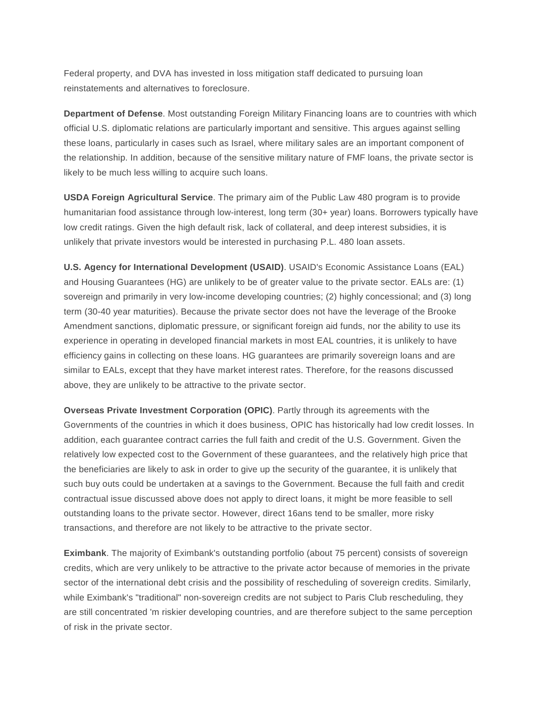Federal property, and DVA has invested in loss mitigation staff dedicated to pursuing loan reinstatements and alternatives to foreclosure.

**Department of Defense**. Most outstanding Foreign Military Financing loans are to countries with which official U.S. diplomatic relations are particularly important and sensitive. This argues against selling these loans, particularly in cases such as Israel, where military sales are an important component of the relationship. In addition, because of the sensitive military nature of FMF loans, the private sector is likely to be much less willing to acquire such loans.

**USDA Foreign Agricultural Service**. The primary aim of the Public Law 480 program is to provide humanitarian food assistance through low-interest, long term (30+ year) loans. Borrowers typically have low credit ratings. Given the high default risk, lack of collateral, and deep interest subsidies, it is unlikely that private investors would be interested in purchasing P.L. 480 loan assets.

**U.S. Agency for International Development (USAID)**. USAID's Economic Assistance Loans (EAL) and Housing Guarantees (HG) are unlikely to be of greater value to the private sector. EALs are: (1) sovereign and primarily in very low-income developing countries; (2) highly concessional; and (3) long term (30-40 year maturities). Because the private sector does not have the leverage of the Brooke Amendment sanctions, diplomatic pressure, or significant foreign aid funds, nor the ability to use its experience in operating in developed financial markets in most EAL countries, it is unlikely to have efficiency gains in collecting on these loans. HG guarantees are primarily sovereign loans and are similar to EALs, except that they have market interest rates. Therefore, for the reasons discussed above, they are unlikely to be attractive to the private sector.

**Overseas Private Investment Corporation (OPIC)**. Partly through its agreements with the Governments of the countries in which it does business, OPIC has historically had low credit losses. In addition, each guarantee contract carries the full faith and credit of the U.S. Government. Given the relatively low expected cost to the Government of these guarantees, and the relatively high price that the beneficiaries are likely to ask in order to give up the security of the guarantee, it is unlikely that such buy outs could be undertaken at a savings to the Government. Because the full faith and credit contractual issue discussed above does not apply to direct loans, it might be more feasible to sell outstanding loans to the private sector. However, direct 16ans tend to be smaller, more risky transactions, and therefore are not likely to be attractive to the private sector.

**Eximbank**. The majority of Eximbank's outstanding portfolio (about 75 percent) consists of sovereign credits, which are very unlikely to be attractive to the private actor because of memories in the private sector of the international debt crisis and the possibility of rescheduling of sovereign credits. Similarly, while Eximbank's "traditional" non-sovereign credits are not subject to Paris Club rescheduling, they are still concentrated 'm riskier developing countries, and are therefore subject to the same perception of risk in the private sector.